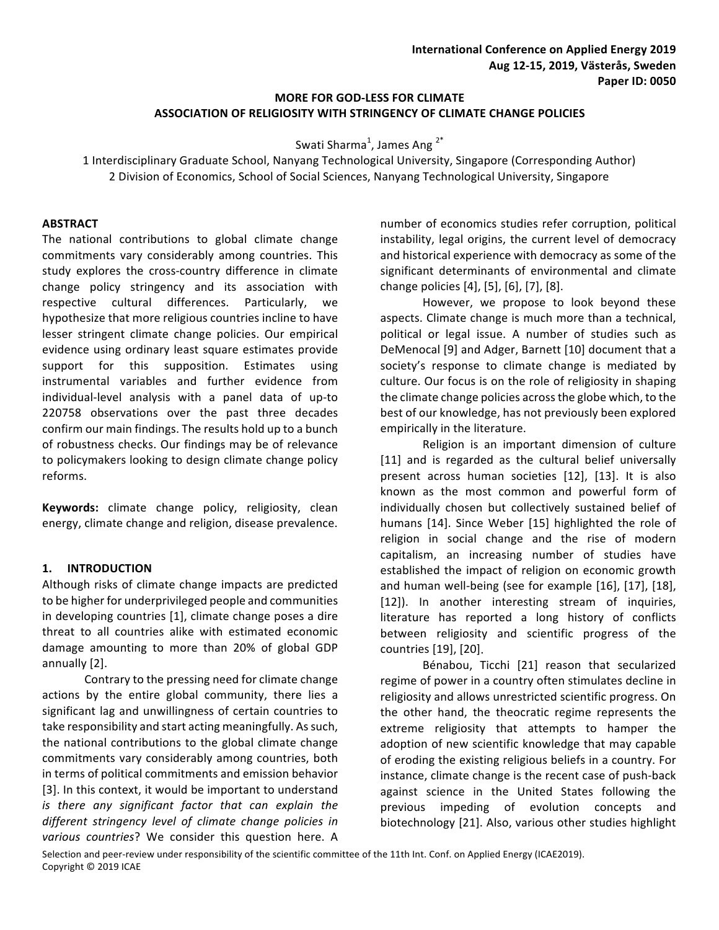# **MORE FOR GOD-LESS FOR CLIMATE ASSOCIATION OF RELIGIOSITY WITH STRINGENCY OF CLIMATE CHANGE POLICIES**

Swati Sharma $^1$ , James Ang  $^{2^*}$ 

1 Interdisciplinary Graduate School, Nanyang Technological University, Singapore (Corresponding Author) 2 Division of Economics, School of Social Sciences, Nanyang Technological University, Singapore

#### **ABSTRACT**

The national contributions to global climate change commitments vary considerably among countries. This study explores the cross-country difference in climate change policy stringency and its association with respective cultural differences. Particularly, we hypothesize that more religious countries incline to have lesser stringent climate change policies. Our empirical evidence using ordinary least square estimates provide support for this supposition. Estimates using instrumental variables and further evidence from individual-level analysis with a panel data of up-to 220758 observations over the past three decades confirm our main findings. The results hold up to a bunch of robustness checks. Our findings may be of relevance to policymakers looking to design climate change policy reforms.

**Keywords:** climate change policy, religiosity, clean energy, climate change and religion, disease prevalence.

### **1. INTRODUCTION**

Although risks of climate change impacts are predicted to be higher for underprivileged people and communities in developing countries [1], climate change poses a dire threat to all countries alike with estimated economic damage amounting to more than 20% of global GDP annually [2].

Contrary to the pressing need for climate change actions by the entire global community, there lies a significant lag and unwillingness of certain countries to take responsibility and start acting meaningfully. As such, the national contributions to the global climate change commitments vary considerably among countries, both in terms of political commitments and emission behavior [3]. In this context, it would be important to understand *is* there any significant factor that can explain the different stringency level of climate change policies in *various countries*? We consider this question here. A

number of economics studies refer corruption, political instability, legal origins, the current level of democracy and historical experience with democracy as some of the significant determinants of environmental and climate change policies [4], [5], [6], [7], [8]. 

However, we propose to look beyond these aspects. Climate change is much more than a technical, political or legal issue. A number of studies such as DeMenocal [9] and Adger, Barnett [10] document that a society's response to climate change is mediated by culture. Our focus is on the role of religiosity in shaping the climate change policies across the globe which, to the best of our knowledge, has not previously been explored empirically in the literature.

Religion is an important dimension of culture [11] and is regarded as the cultural belief universally present across human societies [12], [13]. It is also known as the most common and powerful form of individually chosen but collectively sustained belief of humans [14]. Since Weber [15] highlighted the role of religion in social change and the rise of modern capitalism, an increasing number of studies have established the impact of religion on economic growth and human well-being (see for example [16], [17], [18], [12]). In another interesting stream of inquiries, literature has reported a long history of conflicts between religiosity and scientific progress of the countries [19], [20].

Bénabou, Ticchi [21] reason that secularized regime of power in a country often stimulates decline in religiosity and allows unrestricted scientific progress. On the other hand, the theocratic regime represents the extreme religiosity that attempts to hamper the adoption of new scientific knowledge that may capable of eroding the existing religious beliefs in a country. For instance, climate change is the recent case of push-back against science in the United States following the previous impeding of evolution concepts and biotechnology [21]. Also, various other studies highlight

Selection and peer-review under responsibility of the scientific committee of the 11th Int. Conf. on Applied Energy (ICAE2019). Copyright © 2019 ICAE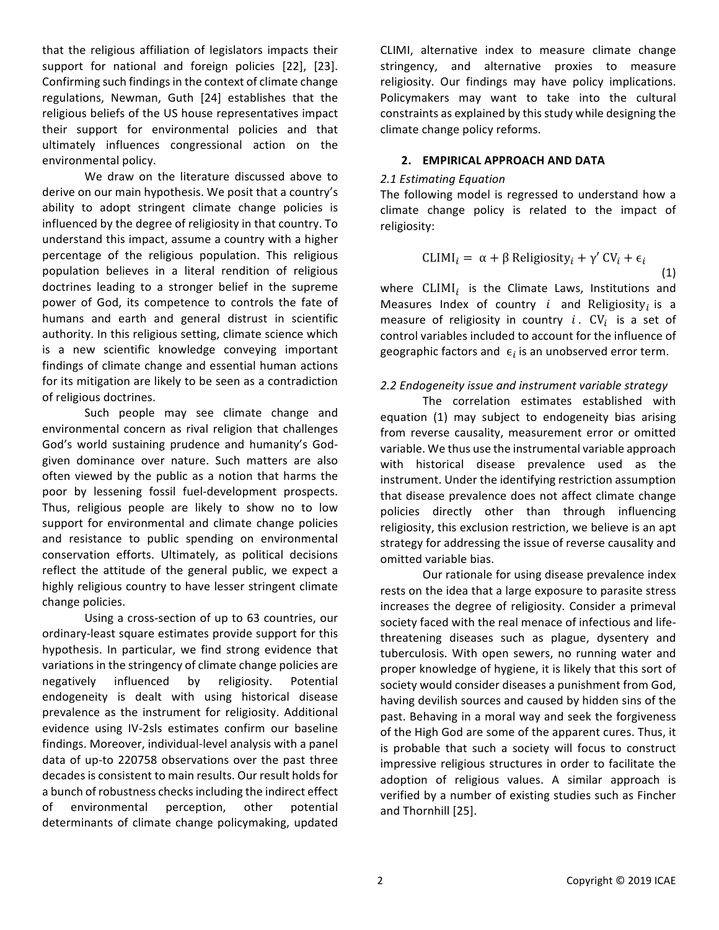that the religious affiliation of legislators impacts their support for national and foreign policies [22], [23]. Confirming such findings in the context of climate change regulations, Newman, Guth [24] establishes that the religious beliefs of the US house representatives impact their support for environmental policies and that ultimately influences congressional action on the environmental policy.

We draw on the literature discussed above to derive on our main hypothesis. We posit that a country's ability to adopt stringent climate change policies is influenced by the degree of religiosity in that country. To understand this impact, assume a country with a higher percentage of the religious population. This religious population believes in a literal rendition of religious doctrines leading to a stronger belief in the supreme power of God, its competence to controls the fate of humans and earth and general distrust in scientific authority. In this religious setting, climate science which is a new scientific knowledge conveying important findings of climate change and essential human actions for its mitigation are likely to be seen as a contradiction of religious doctrines.

Such people may see climate change and environmental concern as rival religion that challenges God's world sustaining prudence and humanity's Godgiven dominance over nature. Such matters are also often viewed by the public as a notion that harms the poor by lessening fossil fuel-development prospects. Thus, religious people are likely to show no to low support for environmental and climate change policies and resistance to public spending on environmental conservation efforts. Ultimately, as political decisions reflect the attitude of the general public, we expect a highly religious country to have lesser stringent climate change policies.

Using a cross-section of up to 63 countries, our ordinary-least square estimates provide support for this hypothesis. In particular, we find strong evidence that variations in the stringency of climate change policies are negatively influenced by religiosity. Potential endogeneity is dealt with using historical disease prevalence as the instrument for religiosity. Additional evidence using IV-2sls estimates confirm our baseline findings. Moreover, individual-level analysis with a panel data of up-to 220758 observations over the past three decades is consistent to main results. Our result holds for a bunch of robustness checks including the indirect effect of environmental perception, other potential determinants of climate change policymaking, updated

CLIMI, alternative index to measure climate change stringency, and alternative proxies to measure religiosity. Our findings may have policy implications. Policymakers may want to take into the cultural constraints as explained by this study while designing the climate change policy reforms.

#### **2. EMPIRICAL APPROACH AND DATA**

#### *2.1 Estimating Equation*

The following model is regressed to understand how a climate change policy is related to the impact of religiosity: 

$$
CLIMI_i = \alpha + \beta \text{ Religiosity}_i + \gamma' CV_i + \epsilon_i
$$
\n(1)

where  $CLIMI_i$  is the Climate Laws, Institutions and Measures Index of country  $i$  and Religiosity<sub>i</sub> is a measure of religiosity in country i.  $CV_i$  is a set of control variables included to account for the influence of geographic factors and  $\epsilon_i$  is an unobserved error term.

### 2.2 Endogeneity issue and instrument variable strategy

The correlation estimates established with equation (1) may subject to endogeneity bias arising from reverse causality, measurement error or omitted variable. We thus use the instrumental variable approach with historical disease prevalence used as the instrument. Under the identifying restriction assumption that disease prevalence does not affect climate change policies directly other than through influencing religiosity, this exclusion restriction, we believe is an apt strategy for addressing the issue of reverse causality and omitted variable bias.

Our rationale for using disease prevalence index rests on the idea that a large exposure to parasite stress increases the degree of religiosity. Consider a primeval society faced with the real menace of infectious and lifethreatening diseases such as plague, dysentery and tuberculosis. With open sewers, no running water and proper knowledge of hygiene, it is likely that this sort of society would consider diseases a punishment from God, having devilish sources and caused by hidden sins of the past. Behaving in a moral way and seek the forgiveness of the High God are some of the apparent cures. Thus, it is probable that such a society will focus to construct impressive religious structures in order to facilitate the adoption of religious values. A similar approach is verified by a number of existing studies such as Fincher and Thornhill [25].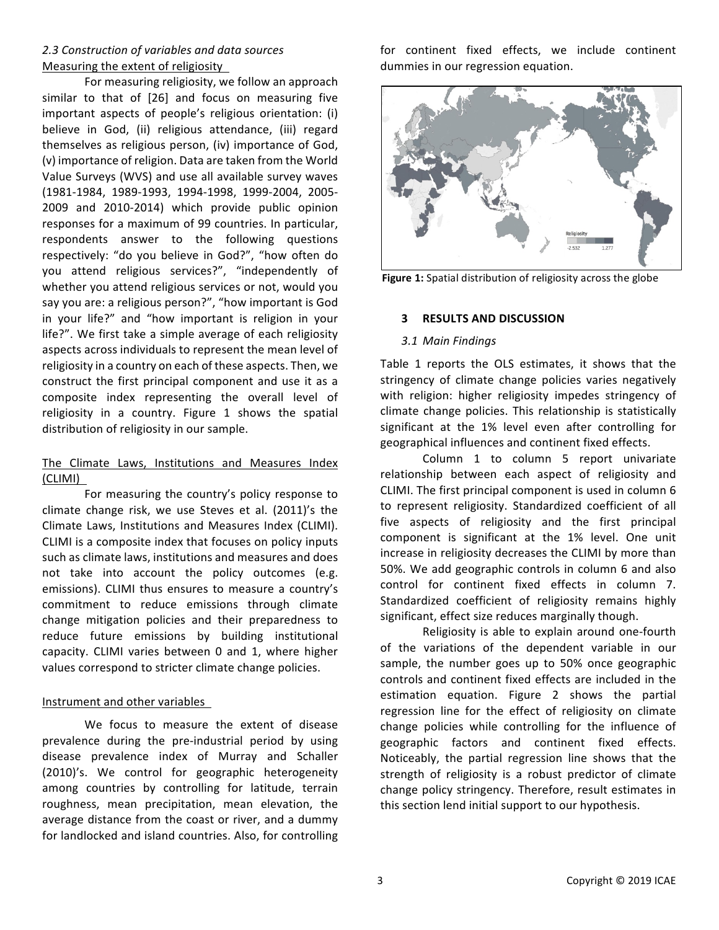## *2.3 Construction of variables and data sources*  Measuring the extent of religiosity

For measuring religiosity, we follow an approach similar to that of  $[26]$  and focus on measuring five important aspects of people's religious orientation: (i) believe in God, (ii) religious attendance, (iii) regard themselves as religious person, (iv) importance of God, (v) importance of religion. Data are taken from the World Value Surveys (WVS) and use all available survey waves (1981-1984, 1989-1993, 1994-1998, 1999-2004, 2005- 2009 and 2010-2014) which provide public opinion responses for a maximum of 99 countries. In particular, respondents answer to the following questions respectively: "do you believe in God?", "how often do you attend religious services?", "independently of whether you attend religious services or not, would you say you are: a religious person?", "how important is God in your life?" and "how important is religion in your life?". We first take a simple average of each religiosity aspects across individuals to represent the mean level of religiosity in a country on each of these aspects. Then, we construct the first principal component and use it as a composite index representing the overall level of religiosity in a country. Figure 1 shows the spatial distribution of religiosity in our sample.

## The Climate Laws, Institutions and Measures Index (CLIMI)

For measuring the country's policy response to climate change risk, we use Steves et al. (2011)'s the Climate Laws, Institutions and Measures Index (CLIMI). CLIMI is a composite index that focuses on policy inputs such as climate laws, institutions and measures and does not take into account the policy outcomes (e.g. emissions). CLIMI thus ensures to measure a country's commitment to reduce emissions through climate change mitigation policies and their preparedness to reduce future emissions by building institutional capacity. CLIMI varies between 0 and 1, where higher values correspond to stricter climate change policies.

### Instrument and other variables

We focus to measure the extent of disease prevalence during the pre-industrial period by using disease prevalence index of Murray and Schaller (2010)'s. We control for geographic heterogeneity among countries by controlling for latitude, terrain roughness, mean precipitation, mean elevation, the average distance from the coast or river, and a dummy for landlocked and island countries. Also, for controlling for continent fixed effects, we include continent dummies in our regression equation.



Figure 1: Spatial distribution of religiosity across the globe

#### **3 RESULTS AND DISCUSSION**

#### *3.1 Main Findings*

Table 1 reports the OLS estimates, it shows that the stringency of climate change policies varies negatively with religion: higher religiosity impedes stringency of climate change policies. This relationship is statistically significant at the 1% level even after controlling for geographical influences and continent fixed effects.

Column 1 to column 5 report univariate relationship between each aspect of religiosity and CLIMI. The first principal component is used in column 6 to represent religiosity. Standardized coefficient of all five aspects of religiosity and the first principal component is significant at the 1% level. One unit increase in religiosity decreases the CLIMI by more than 50%. We add geographic controls in column 6 and also control for continent fixed effects in column 7. Standardized coefficient of religiosity remains highly significant, effect size reduces marginally though.

Religiosity is able to explain around one-fourth of the variations of the dependent variable in our sample, the number goes up to 50% once geographic controls and continent fixed effects are included in the estimation equation. Figure 2 shows the partial regression line for the effect of religiosity on climate change policies while controlling for the influence of geographic factors and continent fixed effects. Noticeably, the partial regression line shows that the strength of religiosity is a robust predictor of climate change policy stringency. Therefore, result estimates in this section lend initial support to our hypothesis.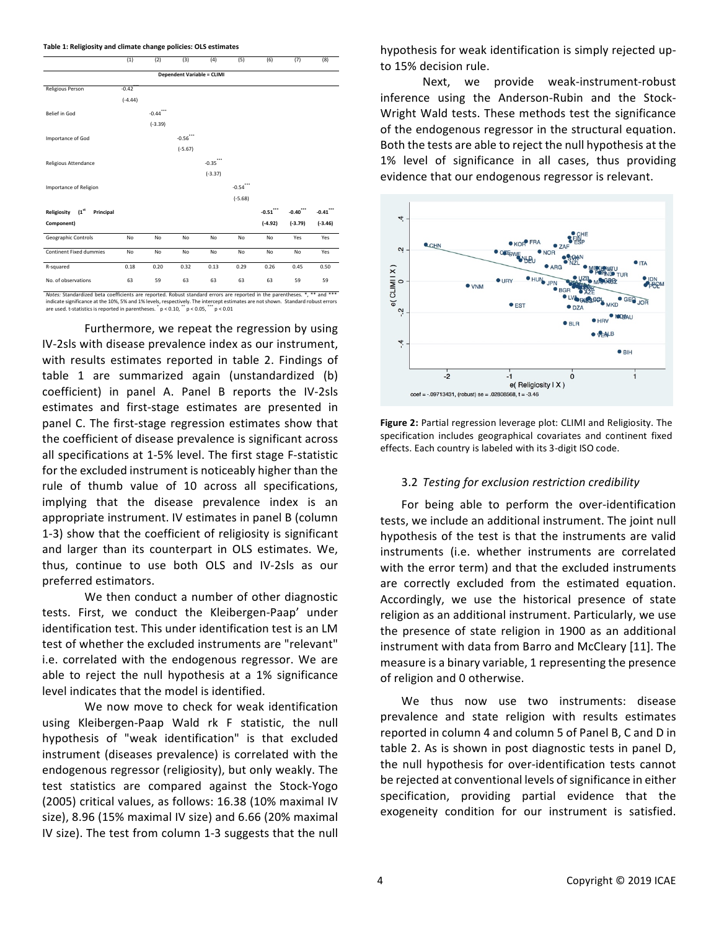#### **Table 1: Religiosity and climate change policies: OLS estimates**

|                                | (1)       | (2)       | (3)                               | (4)            | (5)       | (6)                             | (7)         | (8)       |
|--------------------------------|-----------|-----------|-----------------------------------|----------------|-----------|---------------------------------|-------------|-----------|
|                                |           |           | <b>Dependent Variable = CLIMI</b> |                |           |                                 |             |           |
| Religious Person               | $-0.42$   |           |                                   |                |           |                                 |             |           |
|                                | $(-4.44)$ |           |                                   |                |           |                                 |             |           |
| Belief in God                  |           | $-0.44$   |                                   |                |           |                                 |             |           |
|                                |           | $(-3.39)$ |                                   |                |           |                                 |             |           |
| Importance of God              |           |           | $-0.56$                           |                |           |                                 |             |           |
|                                |           |           | $(-5.67)$                         |                |           |                                 |             |           |
| <b>Religious Attendance</b>    |           |           |                                   | ***<br>$-0.35$ |           |                                 |             |           |
|                                |           |           |                                   | $(-3.37)$      |           |                                 |             |           |
| Importance of Religion         |           |           |                                   |                | $-0.54$   |                                 |             |           |
|                                |           |           |                                   |                | $(-5.68)$ |                                 |             |           |
| Religiosity (1st<br>Principal  |           |           |                                   |                |           | $\textbf{-0.51}^{\ast\ast\ast}$ | $-0.40$ *** | $-0.41$   |
| Component)                     |           |           |                                   |                |           | $(-4.92)$                       | $(-3.79)$   | $(-3.46)$ |
| Geographic Controls            | No        | No        | No                                | No             | No        | No                              | Yes         | Yes       |
| <b>Continent Fixed dummies</b> | No        | No        | No                                | No             | No        | No                              | No          | Yes       |
| R-squared                      | 0.18      | 0.20      | 0.32                              | 0.13           | 0.29      | 0.26                            | 0.45        | 0.50      |
| No. of observations            | 63        | 59        | 63                                | 63             | 63        | 63                              | 59          | 59        |

indicate significance at the 10%, 5% and 1% levels, respectively. The intercept estimates are not shown. Standard robust errors are used. t-statistics is reported in parentheses.  $^{*}$  p < 0.10,  $^{**}$  p < 0.05,  $^{***}$  p < 0.01

Furthermore, we repeat the regression by using IV-2sls with disease prevalence index as our instrument, with results estimates reported in table 2. Findings of table 1 are summarized again (unstandardized (b) coefficient) in panel A. Panel B reports the IV-2sls estimates and first-stage estimates are presented in panel C. The first-stage regression estimates show that the coefficient of disease prevalence is significant across all specifications at 1-5% level. The first stage F-statistic for the excluded instrument is noticeably higher than the rule of thumb value of 10 across all specifications, implying that the disease prevalence index is an appropriate instrument. IV estimates in panel B (column 1-3) show that the coefficient of religiosity is significant and larger than its counterpart in OLS estimates. We, thus, continue to use both OLS and IV-2sls as our preferred estimators. 

We then conduct a number of other diagnostic tests. First, we conduct the Kleibergen-Paap' under identification test. This under identification test is an LM test of whether the excluded instruments are "relevant" i.e. correlated with the endogenous regressor. We are able to reject the null hypothesis at a 1% significance level indicates that the model is identified.

We now move to check for weak identification using Kleibergen-Paap Wald rk F statistic, the null hypothesis of "weak identification" is that excluded instrument (diseases prevalence) is correlated with the endogenous regressor (religiosity), but only weakly. The test statistics are compared against the Stock-Yogo (2005) critical values, as follows: 16.38 (10% maximal IV size),  $8.96$  (15% maximal IV size) and  $6.66$  (20% maximal IV size). The test from column 1-3 suggests that the null hypothesis for weak identification is simply rejected upto 15% decision rule.

Next, we provide weak-instrument-robust inference using the Anderson-Rubin and the Stock-Wright Wald tests. These methods test the significance of the endogenous regressor in the structural equation. Both the tests are able to reject the null hypothesis at the 1% level of significance in all cases, thus providing evidence that our endogenous regressor is relevant.



Figure 2: Partial regression leverage plot: CLIMI and Religiosity. The specification includes geographical covariates and continent fixed effects. Each country is labeled with its 3-digit ISO code.

#### 3.2 *Testing for exclusion restriction credibility*

For being able to perform the over-identification tests, we include an additional instrument. The joint null hypothesis of the test is that the instruments are valid instruments (i.e. whether instruments are correlated with the error term) and that the excluded instruments are correctly excluded from the estimated equation. Accordingly, we use the historical presence of state religion as an additional instrument. Particularly, we use the presence of state religion in 1900 as an additional instrument with data from Barro and McCleary [11]. The measure is a binary variable, 1 representing the presence of religion and 0 otherwise.

We thus now use two instruments: disease prevalence and state religion with results estimates reported in column 4 and column 5 of Panel B, C and D in table 2. As is shown in post diagnostic tests in panel D, the null hypothesis for over-identification tests cannot be rejected at conventional levels of significance in either specification, providing partial evidence that the exogeneity condition for our instrument is satisfied.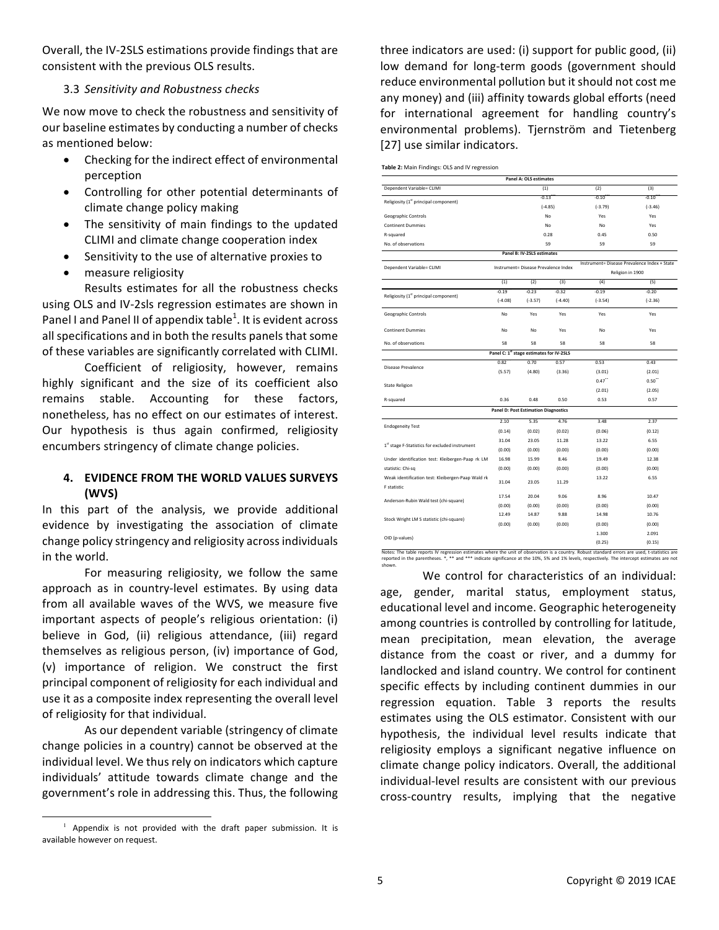Overall, the IV-2SLS estimations provide findings that are consistent with the previous OLS results.

#### 3.3 *Sensitivity and Robustness checks*

We now move to check the robustness and sensitivity of our baseline estimates by conducting a number of checks as mentioned below:

- Checking for the indirect effect of environmental perception
- Controlling for other potential determinants of climate change policy making
- The sensitivity of main findings to the updated CLIMI and climate change cooperation index
- Sensitivity to the use of alternative proxies to
- measure religiosity

Results estimates for all the robustness checks using OLS and IV-2sls regression estimates are shown in Panel I and Panel II of appendix table $^1$ . It is evident across all specifications and in both the results panels that some of these variables are significantly correlated with CLIMI.

Coefficient of religiosity, however, remains highly significant and the size of its coefficient also remains stable. Accounting for these factors, nonetheless, has no effect on our estimates of interest. Our hypothesis is thus again confirmed, religiosity encumbers stringency of climate change policies.

## **4. EVIDENCE FROM THE WORLD VALUES SURVEYS (WVS)**

In this part of the analysis, we provide additional evidence by investigating the association of climate change policy stringency and religiosity across individuals in the world.

For measuring religiosity, we follow the same approach as in country-level estimates. By using data from all available waves of the WVS, we measure five important aspects of people's religious orientation: (i) believe in God, (ii) religious attendance, (iii) regard themselves as religious person, (iv) importance of God, (v) importance of religion. We construct the first principal component of religiosity for each individual and use it as a composite index representing the overall level of religiosity for that individual.

As our dependent variable (stringency of climate change policies in a country) cannot be observed at the individual level. We thus rely on indicators which capture individuals' attitude towards climate change and the government's role in addressing this. Thus, the following

three indicators are used: (i) support for public good, (ii) low demand for long-term goods (government should reduce environmental pollution but it should not cost me any money) and (iii) affinity towards global efforts (need for international agreement for handling country's environmental problems). Tjernström and Tietenberg [27] use similar indicators.

|  |  |  | Table 2: Main Findings: OLS and IV regression |
|--|--|--|-----------------------------------------------|
|  |  |  |                                               |

|                                                   |                                      | <b>Panel A: OLS estimates</b>                        |           |                                                                  |           |  |  |
|---------------------------------------------------|--------------------------------------|------------------------------------------------------|-----------|------------------------------------------------------------------|-----------|--|--|
| Dependent Variable= CLIMI                         |                                      | (1)                                                  |           | (2)                                                              | (3)       |  |  |
| Religiosity (1 <sup>st</sup> principal component) | $-0.13$                              |                                                      | $-0.10$   | $-0.10$                                                          |           |  |  |
|                                                   |                                      |                                                      | $(-4.85)$ | $(-3.79)$                                                        | $(-3.46)$ |  |  |
| Geographic Controls                               |                                      |                                                      | No        | Yes                                                              | Yes       |  |  |
| <b>Continent Dummies</b>                          |                                      |                                                      | No        | No                                                               | Yes       |  |  |
| R-squared                                         |                                      |                                                      | 0.28      | 0.45                                                             | 0.50      |  |  |
| No. of observations                               |                                      |                                                      | 59        | 59                                                               | 59        |  |  |
|                                                   |                                      | Panel B: IV-2SLS estimates                           |           |                                                                  |           |  |  |
| Dependent Variable= CLIMI                         | Instrument= Disease Prevalence Index |                                                      |           | Instrument= Disease Prevalence Index + State<br>Religion in 1900 |           |  |  |
|                                                   | (1)                                  | (2)                                                  | (3)       | (4)                                                              | (5)       |  |  |
|                                                   | $-0.19$                              | $-0.23$                                              | $-0.32$   | $-0.19$                                                          | $-0.20$   |  |  |
| Religiosity (1st principal component)             | $(-4.08)$                            | $(-3.57)$                                            | $(-4.40)$ | $(-3.54)$                                                        | $(-2.36)$ |  |  |
| Geographic Controls                               | No                                   | Yes                                                  | Yes       | Yes                                                              | Yes       |  |  |
| <b>Continent Dummies</b>                          | No                                   | No                                                   | Yes       | No                                                               | Yes       |  |  |
| No. of observations                               | 58                                   | 58                                                   | 58        | 58                                                               | 58        |  |  |
|                                                   |                                      | Panel C: 1 <sup>st</sup> stage estimates for IV-2SLS |           |                                                                  |           |  |  |
|                                                   | 0.82                                 | 0.70                                                 | 0.57      | 0.53                                                             | 0.43      |  |  |
| <b>Disease Prevalence</b>                         | (5.57)                               | (4.80)                                               | (3.36)    | (3.01)                                                           | (2.01)    |  |  |
| <b>State Religion</b>                             |                                      |                                                      |           | 0.47                                                             | 0.50"     |  |  |
|                                                   |                                      |                                                      |           | (2.01)                                                           | (2.05)    |  |  |
| R-squared                                         | 0.36                                 | 0.48                                                 | 0.50      | 0.53                                                             | 0.57      |  |  |
|                                                   |                                      | <b>Panel D: Post Estimation Diagnostics</b>          |           |                                                                  |           |  |  |
|                                                   | 2.10                                 | 5.35                                                 | 4.76      | 3.48                                                             | 2.37      |  |  |
| <b>Endogeneity Test</b>                           | (0.14)                               | (0.02)                                               | (0.02)    | (0.06)                                                           | (0.12)    |  |  |
|                                                   | 31.04                                | 23.05                                                | 11.28     | 13.22                                                            | 6.55      |  |  |
| 1st stage F-Statistics for excluded instrument    | (0.00)                               | (0.00)                                               | (0.00)    | (0.00)                                                           | (0.00)    |  |  |
| Under identification test: Kleibergen-Paap rk LM  | 16.98                                | 15.99                                                | 8.46      | 19.49                                                            | 12.38     |  |  |
| statistic: Chi-sq                                 | (0.00)                               | (0.00)                                               | (0.00)    | (0.00)                                                           | (0.00)    |  |  |
| Weak identification test: Kleibergen-Paap Wald rk | 31.04                                | 23.05                                                | 11.29     | 13.22                                                            | 6.55      |  |  |
| F statistic                                       |                                      |                                                      |           |                                                                  |           |  |  |
| Anderson-Rubin Wald test (chi-square)             | 17.54                                | 20.04                                                | 9.06      | 8.96                                                             | 10.47     |  |  |
|                                                   | (0.00)                               | (0.00)                                               | (0.00)    | (0.00)                                                           | (0.00)    |  |  |
| Stock Wright LM S statistic (chi-square)          | 12.49                                | 14.87                                                | 9.88      | 14.98                                                            | 10.76     |  |  |
|                                                   | (0.00)                               | (0.00)                                               | (0.00)    | (0.00)                                                           | (0.00)    |  |  |
| OID (p-values)                                    |                                      |                                                      |           | 1.300                                                            | 2.091     |  |  |
|                                                   |                                      |                                                      |           | (0.25)                                                           | (0.15)    |  |  |

Notes: The table reports IV regression estimates where the unit of observation is a country. Robust standard errors are used, t-statistics are<br>reported in the parentheses. \*, \*\* and \*\*\* indicate significance at the 10%, 5%

We control for characteristics of an individual: age, gender, marital status, employment status, educational level and income. Geographic heterogeneity among countries is controlled by controlling for latitude, mean precipitation, mean elevation, the average distance from the coast or river, and a dummy for landlocked and island country. We control for continent specific effects by including continent dummies in our regression equation. Table 3 reports the results estimates using the OLS estimator. Consistent with our hypothesis, the individual level results indicate that religiosity employs a significant negative influence on climate change policy indicators. Overall, the additional individual-level results are consistent with our previous cross-country results, implying that the negative 

 $1$  Appendix is not provided with the draft paper submission. It is available however on request.